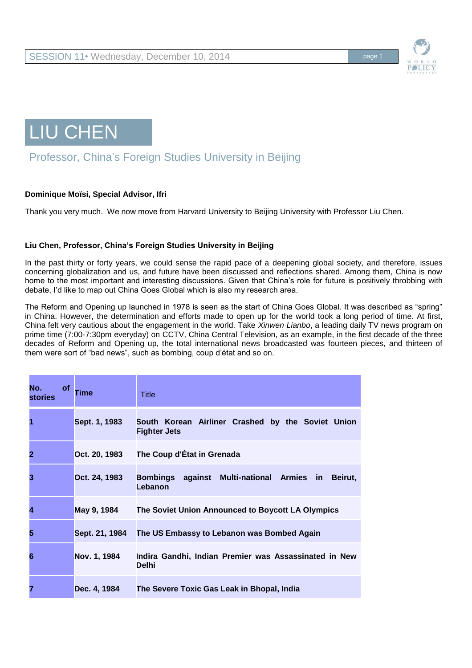



## Professor, China's Foreign Studies University in Beijing

## **Dominique Moïsi, Special Advisor, Ifri**

Thank you very much. We now move from Harvard University to Beijing University with Professor Liu Chen.

## **Liu Chen, Professor, China's Foreign Studies University in Beijing**

In the past thirty or forty years, we could sense the rapid pace of a deepening global society, and therefore, issues concerning globalization and us, and future have been discussed and reflections shared. Among them, China is now home to the most important and interesting discussions. Given that China's role for future is positively throbbing with debate, I'd like to map out China Goes Global which is also my research area.

The Reform and Opening up launched in 1978 is seen as the start of China Goes Global. It was described as "spring" in China. However, the determination and efforts made to open up for the world took a long period of time. At first, China felt very cautious about the engagement in the world. Take *Xinwen Lianbo*, a leading daily TV news program on prime time (7:00-7:30pm everyday) on CCTV, China Central Television, as an example, in the first decade of the three decades of Reform and Opening up, the total international news broadcasted was fourteen pieces, and thirteen of them were sort of "bad news", such as bombing, coup d'état and so on.

| No.<br><b>of</b><br><b>stories</b> | Time           | <b>Title</b>                                                              |
|------------------------------------|----------------|---------------------------------------------------------------------------|
|                                    | Sept. 1, 1983  | South Korean Airliner Crashed by the Soviet Union<br><b>Fighter Jets</b>  |
| 2                                  | Oct. 20, 1983  | The Coup d'État in Grenada                                                |
| 3                                  | Oct. 24, 1983  | against Multi-national Armies in<br><b>Bombings</b><br>Beirut,<br>Lebanon |
| 4                                  | May 9, 1984    | The Soviet Union Announced to Boycott LA Olympics                         |
| 5                                  | Sept. 21, 1984 | The US Embassy to Lebanon was Bombed Again                                |
| 6                                  | Nov. 1, 1984   | Indira Gandhi, Indian Premier was Assassinated in New<br>Delhi            |
|                                    | Dec. 4, 1984   | The Severe Toxic Gas Leak in Bhopal, India                                |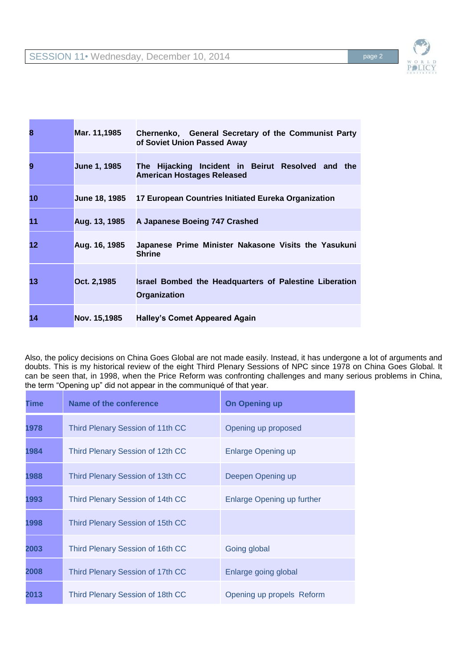| B  | Mar. 11,1985         | Chernenko, General Secretary of the Communist Party<br>of Soviet Union Passed Away     |
|----|----------------------|----------------------------------------------------------------------------------------|
| 9  | <b>June 1, 1985</b>  | The Hijacking Incident in Beirut Resolved and the<br><b>American Hostages Released</b> |
| 10 | <b>June 18, 1985</b> | 17 European Countries Initiated Eureka Organization                                    |
| 11 | Aug. 13, 1985        | A Japanese Boeing 747 Crashed                                                          |
| 12 | Aug. 16, 1985        | Japanese Prime Minister Nakasone Visits the Yasukuni<br><b>Shrine</b>                  |
| 13 | Oct. 2,1985          | <b>Israel Bombed the Headquarters of Palestine Liberation</b><br>Organization          |
| 14 | Nov. 15,1985         | <b>Halley's Comet Appeared Again</b>                                                   |

Also, the policy decisions on China Goes Global are not made easily. Instead, it has undergone a lot of arguments and doubts. This is my historical review of the eight Third Plenary Sessions of NPC since 1978 on China Goes Global. It can be seen that, in 1998, when the Price Reform was confronting challenges and many serious problems in China, the term "Opening up" did not appear in the communiqué of that year.

| <b>Time</b> | Name of the conference           | <b>On Opening up</b>       |
|-------------|----------------------------------|----------------------------|
| 1978        | Third Plenary Session of 11th CC | Opening up proposed        |
| 1984        | Third Plenary Session of 12th CC | <b>Enlarge Opening up</b>  |
| 1988        | Third Plenary Session of 13th CC | Deepen Opening up          |
| 1993        | Third Plenary Session of 14th CC | Enlarge Opening up further |
| 1998        | Third Plenary Session of 15th CC |                            |
| 2003        | Third Plenary Session of 16th CC | Going global               |
| 2008        | Third Plenary Session of 17th CC | Enlarge going global       |
| 2013        | Third Plenary Session of 18th CC | Opening up propels Reform  |